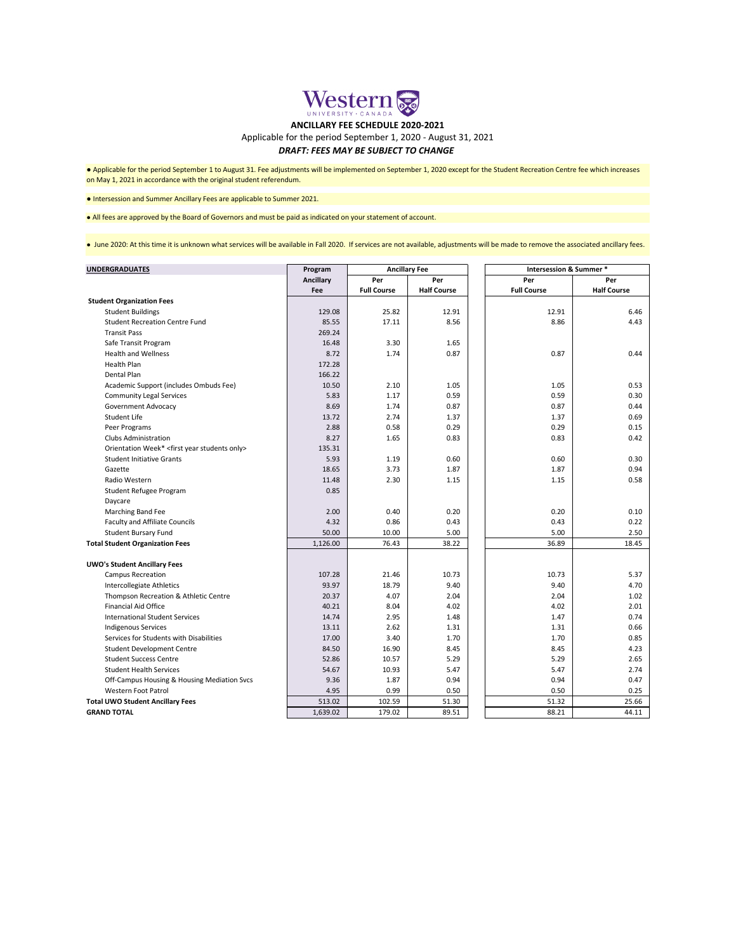| <b>UNDERGRADUATES</b>                                         | Program          | <b>Ancillary Fee</b> |                    | <b>Intersession &amp; Summer *</b> |                    |
|---------------------------------------------------------------|------------------|----------------------|--------------------|------------------------------------|--------------------|
|                                                               | <b>Ancillary</b> | Per                  | Per                | Per                                | Per                |
|                                                               | Fee              | <b>Full Course</b>   | <b>Half Course</b> | <b>Full Course</b>                 | <b>Half Course</b> |
| <b>Student Organization Fees</b>                              |                  |                      |                    |                                    |                    |
| <b>Student Buildings</b>                                      | 129.08           | 25.82                | 12.91              | 12.91                              | 6.46               |
| <b>Student Recreation Centre Fund</b>                         | 85.55            | 17.11                | 8.56               | 8.86                               | 4.43               |
| <b>Transit Pass</b>                                           | 269.24           |                      |                    |                                    |                    |
| Safe Transit Program                                          | 16.48            | 3.30                 | 1.65               |                                    |                    |
| <b>Health and Wellness</b>                                    | 8.72             | 1.74                 | 0.87               | 0.87                               | 0.44               |
| <b>Health Plan</b>                                            | 172.28           |                      |                    |                                    |                    |
| Dental Plan                                                   | 166.22           |                      |                    |                                    |                    |
| Academic Support (includes Ombuds Fee)                        | 10.50            | 2.10                 | 1.05               | 1.05                               | 0.53               |
| <b>Community Legal Services</b>                               | 5.83             | 1.17                 | 0.59               | 0.59                               | 0.30               |
| <b>Government Advocacy</b>                                    | 8.69             | 1.74                 | 0.87               | 0.87                               | 0.44               |
| <b>Student Life</b>                                           | 13.72            | 2.74                 | 1.37               | 1.37                               | 0.69               |
| Peer Programs                                                 | 2.88             | 0.58                 | 0.29               | 0.29                               | 0.15               |
| <b>Clubs Administration</b>                                   | 8.27             | 1.65                 | 0.83               | 0.83                               | 0.42               |
| Orientation Week* <first only="" students="" year=""></first> | 135.31           |                      |                    |                                    |                    |
| <b>Student Initiative Grants</b>                              | 5.93             | 1.19                 | 0.60               | 0.60                               | 0.30               |
| Gazette                                                       | 18.65            | 3.73                 | 1.87               | 1.87                               | 0.94               |
| Radio Western                                                 | 11.48            | 2.30                 | 1.15               | 1.15                               | 0.58               |
| Student Refugee Program                                       | 0.85             |                      |                    |                                    |                    |
| Daycare                                                       |                  |                      |                    |                                    |                    |
| Marching Band Fee                                             | 2.00             | 0.40                 | 0.20               | 0.20                               | 0.10               |
| <b>Faculty and Affiliate Councils</b>                         | 4.32             | 0.86                 | 0.43               | 0.43                               | 0.22               |
| <b>Student Bursary Fund</b>                                   | 50.00            | 10.00                | 5.00               | 5.00                               | 2.50               |
| <b>Total Student Organization Fees</b>                        | 1,126.00         | 76.43                | 38.22              | 36.89                              | 18.45              |
| <b>UWO's Student Ancillary Fees</b>                           |                  |                      |                    |                                    |                    |
| <b>Campus Recreation</b>                                      | 107.28           | 21.46                | 10.73              | 10.73                              | 5.37               |
| Intercollegiate Athletics                                     | 93.97            | 18.79                | 9.40               | 9.40                               | 4.70               |
| Thompson Recreation & Athletic Centre                         | 20.37            | 4.07                 | 2.04               | 2.04                               | 1.02               |
| <b>Financial Aid Office</b>                                   | 40.21            | 8.04                 | 4.02               | 4.02                               | 2.01               |
| <b>International Student Services</b>                         | 14.74            | 2.95                 | 1.48               | 1.47                               | 0.74               |
| <b>Indigenous Services</b>                                    | 13.11            | 2.62                 | 1.31               | 1.31                               | 0.66               |
| Services for Students with Disabilities                       | 17.00            | 3.40                 | 1.70               | 1.70                               | 0.85               |
| <b>Student Development Centre</b>                             | 84.50            | 16.90                | 8.45               | 8.45                               | 4.23               |
| <b>Student Success Centre</b>                                 | 52.86            | 10.57                | 5.29               | 5.29                               | 2.65               |
| <b>Student Health Services</b>                                | 54.67            | 10.93                | 5.47               | 5.47                               | 2.74               |
| Off-Campus Housing & Housing Mediation Svcs                   | 9.36             | 1.87                 | 0.94               | 0.94                               | 0.47               |
| <b>Western Foot Patrol</b>                                    | 4.95             | 0.99                 | 0.50               | 0.50                               | 0.25               |
| <b>Total UWO Student Ancillary Fees</b>                       | 513.02           | 102.59               | 51.30              | 51.32                              | 25.66              |
| <b>GRAND TOTAL</b>                                            | 1,639.02         | 179.02               | 89.51              | 88.21                              | 44.11              |

● Intersession and Summer Ancillary Fees are applicable to Summer 2021.

## *DRAFT: FEES MAY BE SUBJECT TO CHANGE*

● Applicable for the period September 1 to August 31. Fee adjustments will be implemented on September 1, 2020 except for the Student Recreation Centre fee which increases on May 1, 2021 in accordance with the original student referendum.

● All fees are approved by the Board of Governors and must be paid as indicated on your statement of account.

● June 2020: At this time it is unknown what services will be available in Fall 2020. If services are not available, adjustments will be made to remove the associated ancillary fees.



## **ANCILLARY FEE SCHEDULE 2020-2021**

Applicable for the period September 1, 2020 - August 31, 2021